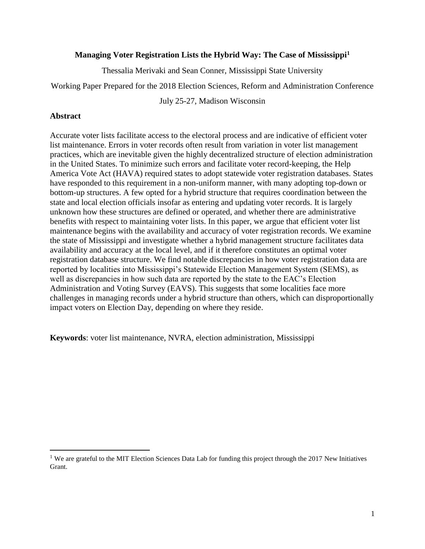# **Managing Voter Registration Lists the Hybrid Way: The Case of Mississippi<sup>1</sup>**

Thessalia Merivaki and Sean Conner, Mississippi State University

Working Paper Prepared for the 2018 Election Sciences, Reform and Administration Conference

July 25-27, Madison Wisconsin

# **Abstract**

 $\overline{\phantom{a}}$ 

Accurate voter lists facilitate access to the electoral process and are indicative of efficient voter list maintenance. Errors in voter records often result from variation in voter list management practices, which are inevitable given the highly decentralized structure of election administration in the United States. To minimize such errors and facilitate voter record-keeping, the Help America Vote Act (HAVA) required states to adopt statewide voter registration databases. States have responded to this requirement in a non-uniform manner, with many adopting top-down or bottom-up structures. A few opted for a hybrid structure that requires coordination between the state and local election officials insofar as entering and updating voter records. It is largely unknown how these structures are defined or operated, and whether there are administrative benefits with respect to maintaining voter lists. In this paper, we argue that efficient voter list maintenance begins with the availability and accuracy of voter registration records. We examine the state of Mississippi and investigate whether a hybrid management structure facilitates data availability and accuracy at the local level, and if it therefore constitutes an optimal voter registration database structure. We find notable discrepancies in how voter registration data are reported by localities into Mississippi's Statewide Election Management System (SEMS), as well as discrepancies in how such data are reported by the state to the EAC's Election Administration and Voting Survey (EAVS). This suggests that some localities face more challenges in managing records under a hybrid structure than others, which can disproportionally impact voters on Election Day, depending on where they reside.

**Keywords**: voter list maintenance, NVRA, election administration, Mississippi

<sup>&</sup>lt;sup>1</sup> We are grateful to the MIT Election Sciences Data Lab for funding this project through the 2017 New Initiatives Grant.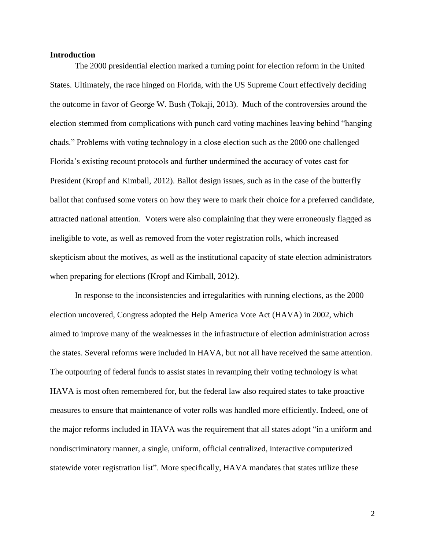## **Introduction**

The 2000 presidential election marked a turning point for election reform in the United States. Ultimately, the race hinged on Florida, with the US Supreme Court effectively deciding the outcome in favor of George W. Bush (Tokaji, 2013). Much of the controversies around the election stemmed from complications with punch card voting machines leaving behind "hanging chads." Problems with voting technology in a close election such as the 2000 one challenged Florida's existing recount protocols and further undermined the accuracy of votes cast for President (Kropf and Kimball, 2012). Ballot design issues, such as in the case of the butterfly ballot that confused some voters on how they were to mark their choice for a preferred candidate, attracted national attention. Voters were also complaining that they were erroneously flagged as ineligible to vote, as well as removed from the voter registration rolls, which increased skepticism about the motives, as well as the institutional capacity of state election administrators when preparing for elections (Kropf and Kimball, 2012).

In response to the inconsistencies and irregularities with running elections, as the 2000 election uncovered, Congress adopted the Help America Vote Act (HAVA) in 2002, which aimed to improve many of the weaknesses in the infrastructure of election administration across the states. Several reforms were included in HAVA, but not all have received the same attention. The outpouring of federal funds to assist states in revamping their voting technology is what HAVA is most often remembered for, but the federal law also required states to take proactive measures to ensure that maintenance of voter rolls was handled more efficiently. Indeed, one of the major reforms included in HAVA was the requirement that all states adopt "in a uniform and nondiscriminatory manner, a single, uniform, official centralized, interactive computerized statewide voter registration list". More specifically, HAVA mandates that states utilize these

2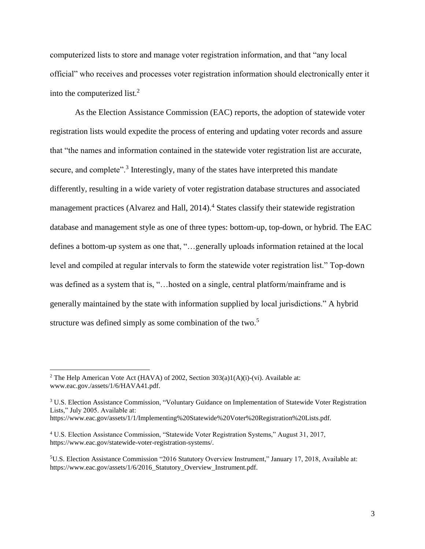computerized lists to store and manage voter registration information, and that "any local official" who receives and processes voter registration information should electronically enter it into the computerized list.<sup>2</sup>

As the Election Assistance Commission (EAC) reports, the adoption of statewide voter registration lists would expedite the process of entering and updating voter records and assure that "the names and information contained in the statewide voter registration list are accurate, secure, and complete".<sup>3</sup> Interestingly, many of the states have interpreted this mandate differently, resulting in a wide variety of voter registration database structures and associated management practices (Alvarez and Hall, 2014).<sup>4</sup> States classify their statewide registration database and management style as one of three types: bottom-up, top-down, or hybrid. The EAC defines a bottom-up system as one that, "…generally uploads information retained at the local level and compiled at regular intervals to form the statewide voter registration list." Top-down was defined as a system that is, "... hosted on a single, central platform/mainframe and is generally maintained by the state with information supplied by local jurisdictions." A hybrid structure was defined simply as some combination of the two.<sup>5</sup>

<sup>&</sup>lt;sup>2</sup> The Help American Vote Act (HAVA) of 2002, Section  $303(a)1(A)(i)$ -(vi). Available at: [www.eac.gov./assets/1/6/HAVA41.pdf.](http://www.eac.gov./assets/1/6/HAVA41.pdf)

<sup>3</sup> U.S. Election Assistance Commission, "Voluntary Guidance on Implementation of Statewide Voter Registration Lists," July 2005. Available at:

[https://www.eac.gov/assets/1/1/Implementing%20Statewide%20Voter%20Registration%20Lists.pdf.](https://www.eac.gov/assets/1/1/Implementing%20Statewide%20Voter%20Registration%20Lists.pdf)

<sup>4</sup> U.S. Election Assistance Commission, "Statewide Voter Registration Systems," August 31, 2017, [https://www.eac.gov/statewide-voter-registration-systems/.](https://www.eac.gov/statewide-voter-registration-systems/)

<sup>5</sup>U.S. Election Assistance Commission "2016 Statutory Overview Instrument," January 17, 2018, Available at: https://www.eac.gov/assets/1/6/2016 Statutory Overview Instrument.pdf.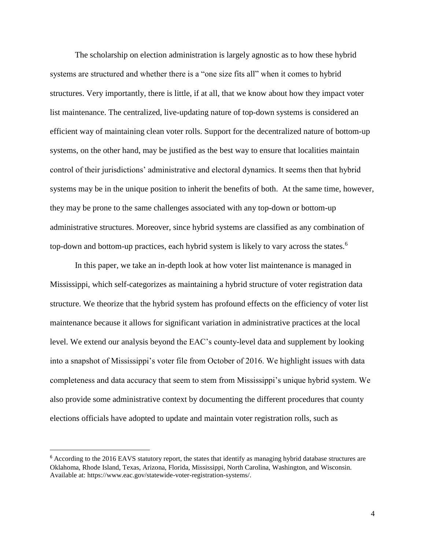The scholarship on election administration is largely agnostic as to how these hybrid systems are structured and whether there is a "one size fits all" when it comes to hybrid structures. Very importantly, there is little, if at all, that we know about how they impact voter list maintenance. The centralized, live-updating nature of top-down systems is considered an efficient way of maintaining clean voter rolls. Support for the decentralized nature of bottom-up systems, on the other hand, may be justified as the best way to ensure that localities maintain control of their jurisdictions' administrative and electoral dynamics. It seems then that hybrid systems may be in the unique position to inherit the benefits of both. At the same time, however, they may be prone to the same challenges associated with any top-down or bottom-up administrative structures. Moreover, since hybrid systems are classified as any combination of top-down and bottom-up practices, each hybrid system is likely to vary across the states.<sup>6</sup>

In this paper, we take an in-depth look at how voter list maintenance is managed in Mississippi, which self-categorizes as maintaining a hybrid structure of voter registration data structure. We theorize that the hybrid system has profound effects on the efficiency of voter list maintenance because it allows for significant variation in administrative practices at the local level. We extend our analysis beyond the EAC's county-level data and supplement by looking into a snapshot of Mississippi's voter file from October of 2016. We highlight issues with data completeness and data accuracy that seem to stem from Mississippi's unique hybrid system. We also provide some administrative context by documenting the different procedures that county elections officials have adopted to update and maintain voter registration rolls, such as

<sup>&</sup>lt;sup>6</sup> According to the 2016 EAVS statutory report, the states that identify as managing hybrid database structures are Oklahoma, Rhode Island, Texas, Arizona, Florida, Mississippi, North Carolina, Washington, and Wisconsin. Available at: [https://www.eac.gov/statewide-voter-registration-systems/.](https://www.eac.gov/statewide-voter-registration-systems/)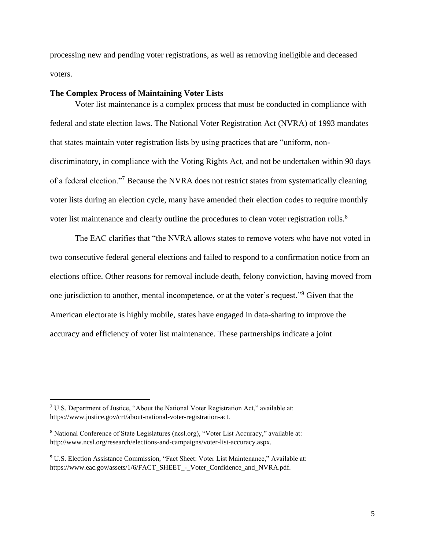processing new and pending voter registrations, as well as removing ineligible and deceased voters.

#### **The Complex Process of Maintaining Voter Lists**

Voter list maintenance is a complex process that must be conducted in compliance with federal and state election laws. The National Voter Registration Act (NVRA) of 1993 mandates that states maintain voter registration lists by using practices that are "uniform, nondiscriminatory, in compliance with the Voting Rights Act, and not be undertaken within 90 days of a federal election."<sup>7</sup> Because the NVRA does not restrict states from systematically cleaning voter lists during an election cycle, many have amended their election codes to require monthly voter list maintenance and clearly outline the procedures to clean voter registration rolls.<sup>8</sup>

The EAC clarifies that "the NVRA allows states to remove voters who have not voted in two consecutive federal general elections and failed to respond to a confirmation notice from an elections office. Other reasons for removal include death, felony conviction, having moved from one jurisdiction to another, mental incompetence, or at the voter's request."<sup>9</sup> Given that the American electorate is highly mobile, states have engaged in data-sharing to improve the accuracy and efficiency of voter list maintenance. These partnerships indicate a joint

<sup>7</sup> U.S. Department of Justice, "About the National Voter Registration Act," available at: [https://www.justice.gov/crt/about-national-voter-registration-act.](https://www.justice.gov/crt/about-national-voter-registration-act)

<sup>8</sup> National Conference of State Legislatures (ncsl.org), "Voter List Accuracy," available at: [http://www.ncsl.org/research/elections-and-campaigns/voter-list-accuracy.aspx.](http://www.ncsl.org/research/elections-and-campaigns/voter-list-accuracy.aspx)

<sup>9</sup> U.S. Election Assistance Commission, "Fact Sheet: Voter List Maintenance," Available at: https://www.eac.gov/assets/1/6/FACT\_SHEET - Voter\_Confidence\_and\_NVRA.pdf.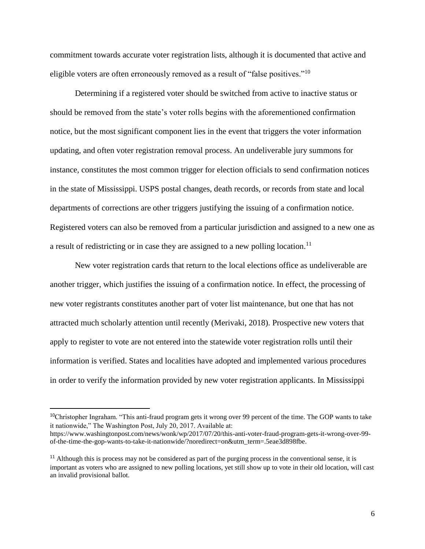commitment towards accurate voter registration lists, although it is documented that active and eligible voters are often erroneously removed as a result of "false positives."<sup>10</sup>

Determining if a registered voter should be switched from active to inactive status or should be removed from the state's voter rolls begins with the aforementioned confirmation notice, but the most significant component lies in the event that triggers the voter information updating, and often voter registration removal process. An undeliverable jury summons for instance, constitutes the most common trigger for election officials to send confirmation notices in the state of Mississippi. USPS postal changes, death records, or records from state and local departments of corrections are other triggers justifying the issuing of a confirmation notice. Registered voters can also be removed from a particular jurisdiction and assigned to a new one as a result of redistricting or in case they are assigned to a new polling location.<sup>11</sup>

New voter registration cards that return to the local elections office as undeliverable are another trigger, which justifies the issuing of a confirmation notice. In effect, the processing of new voter registrants constitutes another part of voter list maintenance, but one that has not attracted much scholarly attention until recently (Merivaki, 2018). Prospective new voters that apply to register to vote are not entered into the statewide voter registration rolls until their information is verified. States and localities have adopted and implemented various procedures in order to verify the information provided by new voter registration applicants. In Mississippi

<sup>&</sup>lt;sup>10</sup>Christopher Ingraham. "This anti-fraud program gets it wrong over 99 percent of the time. The GOP wants to take it nationwide," The Washington Post, July 20, 2017. Available at:

[https://www.washingtonpost.com/news/wonk/wp/2017/07/20/this-anti-voter-fraud-program-gets-it-wrong-over-99](https://www.washingtonpost.com/news/wonk/wp/2017/07/20/this-anti-voter-fraud-program-gets-it-wrong-over-99-of-the-time-the-gop-wants-to-take-it-nationwide/?noredirect=on&utm_term=.5eae3d898fbe) [of-the-time-the-gop-wants-to-take-it-nationwide/?noredirect=on&utm\\_term=.5eae3d898fbe.](https://www.washingtonpost.com/news/wonk/wp/2017/07/20/this-anti-voter-fraud-program-gets-it-wrong-over-99-of-the-time-the-gop-wants-to-take-it-nationwide/?noredirect=on&utm_term=.5eae3d898fbe)

 $11$  Although this is process may not be considered as part of the purging process in the conventional sense, it is important as voters who are assigned to new polling locations, yet still show up to vote in their old location, will cast an invalid provisional ballot.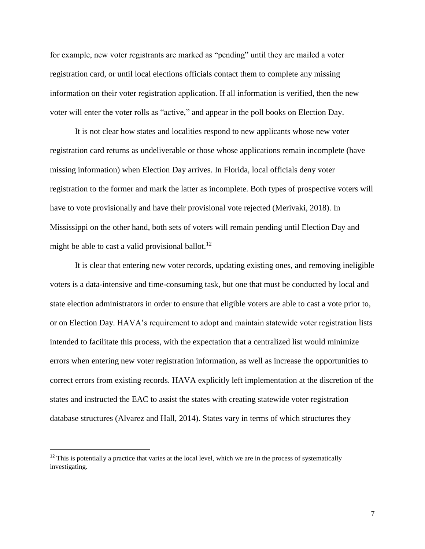for example, new voter registrants are marked as "pending" until they are mailed a voter registration card, or until local elections officials contact them to complete any missing information on their voter registration application. If all information is verified, then the new voter will enter the voter rolls as "active," and appear in the poll books on Election Day.

It is not clear how states and localities respond to new applicants whose new voter registration card returns as undeliverable or those whose applications remain incomplete (have missing information) when Election Day arrives. In Florida, local officials deny voter registration to the former and mark the latter as incomplete. Both types of prospective voters will have to vote provisionally and have their provisional vote rejected (Merivaki, 2018). In Mississippi on the other hand, both sets of voters will remain pending until Election Day and might be able to cast a valid provisional ballot.<sup>12</sup>

It is clear that entering new voter records, updating existing ones, and removing ineligible voters is a data-intensive and time-consuming task, but one that must be conducted by local and state election administrators in order to ensure that eligible voters are able to cast a vote prior to, or on Election Day. HAVA's requirement to adopt and maintain statewide voter registration lists intended to facilitate this process, with the expectation that a centralized list would minimize errors when entering new voter registration information, as well as increase the opportunities to correct errors from existing records. HAVA explicitly left implementation at the discretion of the states and instructed the EAC to assist the states with creating statewide voter registration database structures (Alvarez and Hall, 2014). States vary in terms of which structures they

l

 $12$  This is potentially a practice that varies at the local level, which we are in the process of systematically investigating.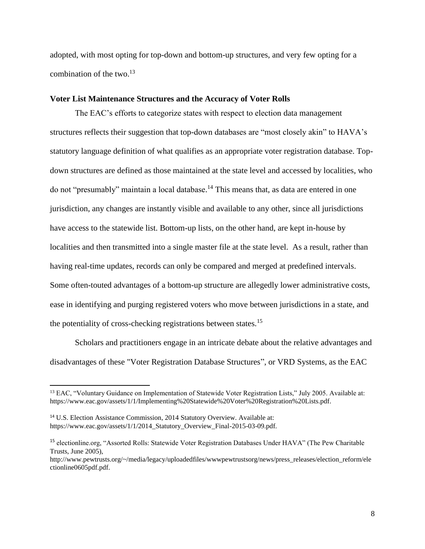adopted, with most opting for top-down and bottom-up structures, and very few opting for a combination of the two.<sup>13</sup>

## **Voter List Maintenance Structures and the Accuracy of Voter Rolls**

The EAC's efforts to categorize states with respect to election data management structures reflects their suggestion that top-down databases are "most closely akin" to HAVA's statutory language definition of what qualifies as an appropriate voter registration database. Topdown structures are defined as those maintained at the state level and accessed by localities, who do not "presumably" maintain a local database. <sup>14</sup> This means that, as data are entered in one jurisdiction, any changes are instantly visible and available to any other, since all jurisdictions have access to the statewide list. Bottom-up lists, on the other hand, are kept in-house by localities and then transmitted into a single master file at the state level. As a result, rather than having real-time updates, records can only be compared and merged at predefined intervals. Some often-touted advantages of a bottom-up structure are allegedly lower administrative costs, ease in identifying and purging registered voters who move between jurisdictions in a state, and the potentiality of cross-checking registrations between states.<sup>15</sup>

Scholars and practitioners engage in an intricate debate about the relative advantages and disadvantages of these "Voter Registration Database Structures", or VRD Systems, as the EAC

<sup>&</sup>lt;sup>13</sup> EAC, "Voluntary Guidance on Implementation of Statewide Voter Registration Lists," July 2005. Available at: [https://www.eac.gov/assets/1/1/Implementing%20Statewide%20Voter%20Registration%20Lists.pdf.](https://www.eac.gov/assets/1/1/Implementing%20Statewide%20Voter%20Registration%20Lists.pdf)

<sup>14</sup> U.S. Election Assistance Commission, 2014 Statutory Overview. Available at: https://www.eac.gov/assets/1/1/2014 Statutory Overview Final-2015-03-09.pdf.

<sup>&</sup>lt;sup>15</sup> electionline.org, "Assorted Rolls: Statewide Voter Registration Databases Under HAVA" (The Pew Charitable Trusts, June 2005),

[http://www.pewtrusts.org/~/media/legacy/uploadedfiles/wwwpewtrustsorg/news/press\\_releases/election\\_reform/ele](http://www.pewtrusts.org/~/media/legacy/uploadedfiles/wwwpewtrustsorg/news/press_releases/election_reform/electionline0605pdf.pdf) [ctionline0605pdf.pdf.](http://www.pewtrusts.org/~/media/legacy/uploadedfiles/wwwpewtrustsorg/news/press_releases/election_reform/electionline0605pdf.pdf)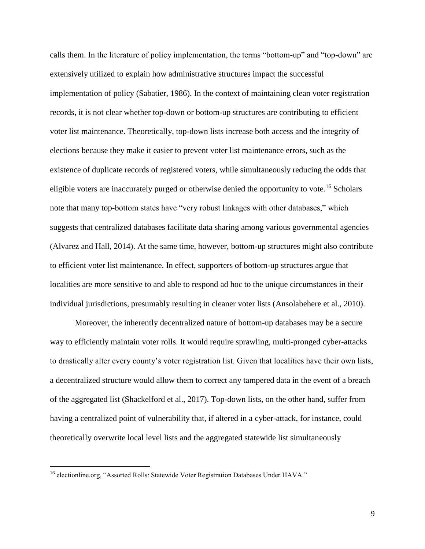calls them. In the literature of policy implementation, the terms "bottom-up" and "top-down" are extensively utilized to explain how administrative structures impact the successful implementation of policy (Sabatier, 1986). In the context of maintaining clean voter registration records, it is not clear whether top-down or bottom-up structures are contributing to efficient voter list maintenance. Theoretically, top-down lists increase both access and the integrity of elections because they make it easier to prevent voter list maintenance errors, such as the existence of duplicate records of registered voters, while simultaneously reducing the odds that eligible voters are inaccurately purged or otherwise denied the opportunity to vote.<sup>16</sup> Scholars note that many top-bottom states have "very robust linkages with other databases," which suggests that centralized databases facilitate data sharing among various governmental agencies (Alvarez and Hall, 2014). At the same time, however, bottom-up structures might also contribute to efficient voter list maintenance. In effect, supporters of bottom-up structures argue that localities are more sensitive to and able to respond ad hoc to the unique circumstances in their individual jurisdictions, presumably resulting in cleaner voter lists (Ansolabehere et al., 2010).

Moreover, the inherently decentralized nature of bottom-up databases may be a secure way to efficiently maintain voter rolls. It would require sprawling, multi-pronged cyber-attacks to drastically alter every county's voter registration list. Given that localities have their own lists, a decentralized structure would allow them to correct any tampered data in the event of a breach of the aggregated list (Shackelford et al., 2017). Top-down lists, on the other hand, suffer from having a centralized point of vulnerability that, if altered in a cyber-attack, for instance, could theoretically overwrite local level lists and the aggregated statewide list simultaneously

<sup>&</sup>lt;sup>16</sup> electionline.org, "Assorted Rolls: Statewide Voter Registration Databases Under HAVA."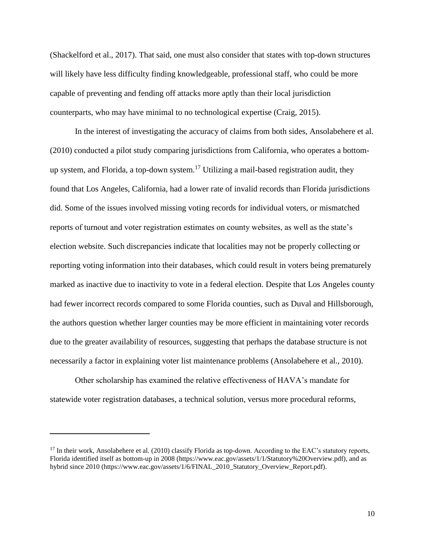(Shackelford et al., 2017). That said, one must also consider that states with top-down structures will likely have less difficulty finding knowledgeable, professional staff, who could be more capable of preventing and fending off attacks more aptly than their local jurisdiction counterparts, who may have minimal to no technological expertise (Craig, 2015).

In the interest of investigating the accuracy of claims from both sides, Ansolabehere et al. (2010) conducted a pilot study comparing jurisdictions from California, who operates a bottomup system, and Florida, a top-down system.<sup>17</sup> Utilizing a mail-based registration audit, they found that Los Angeles, California, had a lower rate of invalid records than Florida jurisdictions did. Some of the issues involved missing voting records for individual voters, or mismatched reports of turnout and voter registration estimates on county websites, as well as the state's election website. Such discrepancies indicate that localities may not be properly collecting or reporting voting information into their databases, which could result in voters being prematurely marked as inactive due to inactivity to vote in a federal election. Despite that Los Angeles county had fewer incorrect records compared to some Florida counties, such as Duval and Hillsborough, the authors question whether larger counties may be more efficient in maintaining voter records due to the greater availability of resources, suggesting that perhaps the database structure is not necessarily a factor in explaining voter list maintenance problems (Ansolabehere et al., 2010).

Other scholarship has examined the relative effectiveness of HAVA's mandate for statewide voter registration databases, a technical solution, versus more procedural reforms,

<sup>&</sup>lt;sup>17</sup> In their work, Ansolabehere et al. (2010) classify Florida as top-down. According to the EAC's statutory reports, Florida identified itself as bottom-up in 2008 (https://www.eac.gov/assets/1/1/Statutory%20Overview.pdf), and as hybrid since 2010 (https://www.eac.gov/assets/1/6/FINAL 2010 Statutory Overview Report.pdf).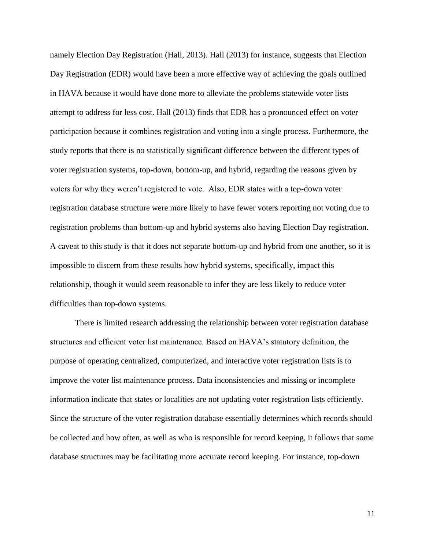namely Election Day Registration (Hall, 2013). Hall (2013) for instance, suggests that Election Day Registration (EDR) would have been a more effective way of achieving the goals outlined in HAVA because it would have done more to alleviate the problems statewide voter lists attempt to address for less cost. Hall (2013) finds that EDR has a pronounced effect on voter participation because it combines registration and voting into a single process. Furthermore, the study reports that there is no statistically significant difference between the different types of voter registration systems, top-down, bottom-up, and hybrid, regarding the reasons given by voters for why they weren't registered to vote. Also, EDR states with a top-down voter registration database structure were more likely to have fewer voters reporting not voting due to registration problems than bottom-up and hybrid systems also having Election Day registration. A caveat to this study is that it does not separate bottom-up and hybrid from one another, so it is impossible to discern from these results how hybrid systems, specifically, impact this relationship, though it would seem reasonable to infer they are less likely to reduce voter difficulties than top-down systems.

There is limited research addressing the relationship between voter registration database structures and efficient voter list maintenance. Based on HAVA's statutory definition, the purpose of operating centralized, computerized, and interactive voter registration lists is to improve the voter list maintenance process. Data inconsistencies and missing or incomplete information indicate that states or localities are not updating voter registration lists efficiently. Since the structure of the voter registration database essentially determines which records should be collected and how often, as well as who is responsible for record keeping, it follows that some database structures may be facilitating more accurate record keeping. For instance, top-down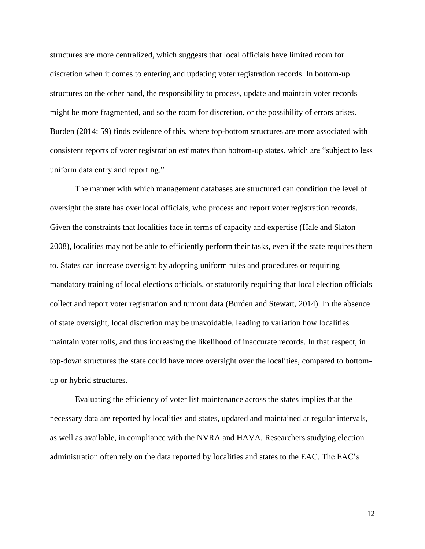structures are more centralized, which suggests that local officials have limited room for discretion when it comes to entering and updating voter registration records. In bottom-up structures on the other hand, the responsibility to process, update and maintain voter records might be more fragmented, and so the room for discretion, or the possibility of errors arises. Burden (2014: 59) finds evidence of this, where top-bottom structures are more associated with consistent reports of voter registration estimates than bottom-up states, which are "subject to less uniform data entry and reporting."

The manner with which management databases are structured can condition the level of oversight the state has over local officials, who process and report voter registration records. Given the constraints that localities face in terms of capacity and expertise (Hale and Slaton 2008), localities may not be able to efficiently perform their tasks, even if the state requires them to. States can increase oversight by adopting uniform rules and procedures or requiring mandatory training of local elections officials, or statutorily requiring that local election officials collect and report voter registration and turnout data (Burden and Stewart, 2014). In the absence of state oversight, local discretion may be unavoidable, leading to variation how localities maintain voter rolls, and thus increasing the likelihood of inaccurate records. In that respect, in top-down structures the state could have more oversight over the localities, compared to bottomup or hybrid structures.

Evaluating the efficiency of voter list maintenance across the states implies that the necessary data are reported by localities and states, updated and maintained at regular intervals, as well as available, in compliance with the NVRA and HAVA. Researchers studying election administration often rely on the data reported by localities and states to the EAC. The EAC's

12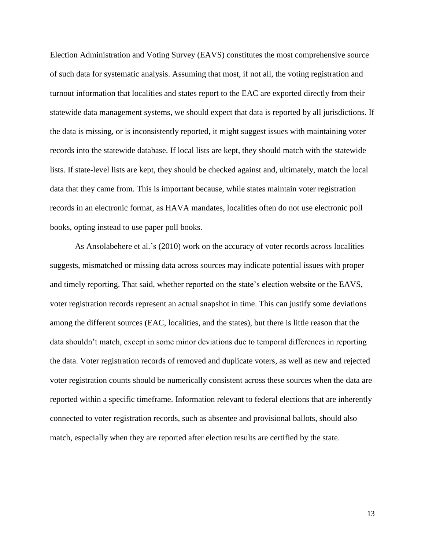Election Administration and Voting Survey (EAVS) constitutes the most comprehensive source of such data for systematic analysis. Assuming that most, if not all, the voting registration and turnout information that localities and states report to the EAC are exported directly from their statewide data management systems, we should expect that data is reported by all jurisdictions. If the data is missing, or is inconsistently reported, it might suggest issues with maintaining voter records into the statewide database. If local lists are kept, they should match with the statewide lists. If state-level lists are kept, they should be checked against and, ultimately, match the local data that they came from. This is important because, while states maintain voter registration records in an electronic format, as HAVA mandates, localities often do not use electronic poll books, opting instead to use paper poll books.

As Ansolabehere et al.'s (2010) work on the accuracy of voter records across localities suggests, mismatched or missing data across sources may indicate potential issues with proper and timely reporting. That said, whether reported on the state's election website or the EAVS, voter registration records represent an actual snapshot in time. This can justify some deviations among the different sources (EAC, localities, and the states), but there is little reason that the data shouldn't match, except in some minor deviations due to temporal differences in reporting the data. Voter registration records of removed and duplicate voters, as well as new and rejected voter registration counts should be numerically consistent across these sources when the data are reported within a specific timeframe. Information relevant to federal elections that are inherently connected to voter registration records, such as absentee and provisional ballots, should also match, especially when they are reported after election results are certified by the state.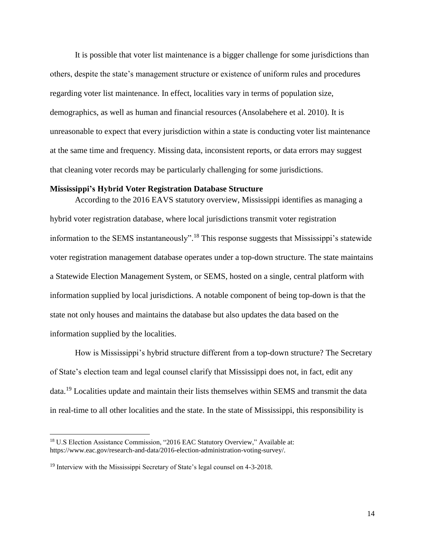It is possible that voter list maintenance is a bigger challenge for some jurisdictions than others, despite the state's management structure or existence of uniform rules and procedures regarding voter list maintenance. In effect, localities vary in terms of population size, demographics, as well as human and financial resources (Ansolabehere et al. 2010). It is unreasonable to expect that every jurisdiction within a state is conducting voter list maintenance at the same time and frequency. Missing data, inconsistent reports, or data errors may suggest that cleaning voter records may be particularly challenging for some jurisdictions.

### **Mississippi's Hybrid Voter Registration Database Structure**

According to the 2016 EAVS statutory overview, Mississippi identifies as managing a hybrid voter registration database, where local jurisdictions transmit voter registration information to the SEMS instantaneously".<sup>18</sup> This response suggests that Mississippi's statewide voter registration management database operates under a top-down structure. The state maintains a Statewide Election Management System, or SEMS, hosted on a single, central platform with information supplied by local jurisdictions. A notable component of being top-down is that the state not only houses and maintains the database but also updates the data based on the information supplied by the localities.

How is Mississippi's hybrid structure different from a top-down structure? The Secretary of State's election team and legal counsel clarify that Mississippi does not, in fact, edit any data.<sup>19</sup> Localities update and maintain their lists themselves within SEMS and transmit the data in real-time to all other localities and the state. In the state of Mississippi, this responsibility is

<sup>&</sup>lt;sup>18</sup> U.S Election Assistance Commission, "2016 EAC Statutory Overview," Available at: https://www.eac.gov/research-and-data/2016-election-administration-voting-survey/.

<sup>&</sup>lt;sup>19</sup> Interview with the Mississippi Secretary of State's legal counsel on 4-3-2018.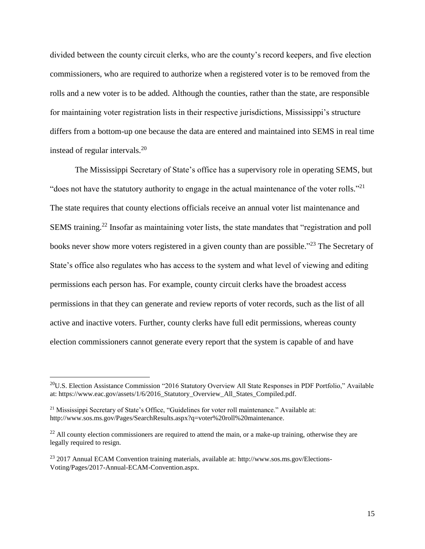divided between the county circuit clerks, who are the county's record keepers, and five election commissioners, who are required to authorize when a registered voter is to be removed from the rolls and a new voter is to be added. Although the counties, rather than the state, are responsible for maintaining voter registration lists in their respective jurisdictions, Mississippi's structure differs from a bottom-up one because the data are entered and maintained into SEMS in real time instead of regular intervals.<sup>20</sup>

The Mississippi Secretary of State's office has a supervisory role in operating SEMS, but "does not have the statutory authority to engage in the actual maintenance of the voter rolls."<sup>21</sup> The state requires that county elections officials receive an annual voter list maintenance and SEMS training.<sup>22</sup> Insofar as maintaining voter lists, the state mandates that "registration and poll books never show more voters registered in a given county than are possible."<sup>23</sup> The Secretary of State's office also regulates who has access to the system and what level of viewing and editing permissions each person has. For example, county circuit clerks have the broadest access permissions in that they can generate and review reports of voter records, such as the list of all active and inactive voters. Further, county clerks have full edit permissions, whereas county election commissioners cannot generate every report that the system is capable of and have

<sup>&</sup>lt;sup>20</sup>U.S. Election Assistance Commission "2016 Statutory Overview All State Responses in PDF Portfolio," Available at: [https://www.eac.gov/assets/1/6/2016\\_Statutory\\_Overview\\_All\\_States\\_Compiled.pdf.](https://www.eac.gov/assets/1/6/2016_Statutory_Overview_All_States_Compiled.pdf)

<sup>&</sup>lt;sup>21</sup> Mississippi Secretary of State's Office, "Guidelines for voter roll maintenance." Available at: http://www.sos.ms.gov/Pages/SearchResults.aspx?q=voter%20roll%20maintenance.

 $22$  All county election commissioners are required to attend the main, or a make-up training, otherwise they are legally required to resign.

<sup>23</sup> 2017 Annual ECAM Convention training materials, available at: [http://www.sos.ms.gov/Elections-](http://www.sos.ms.gov/Elections-Voting/Pages/2017-Annual-ECAM-Convention.aspx)[Voting/Pages/2017-Annual-ECAM-Convention.aspx.](http://www.sos.ms.gov/Elections-Voting/Pages/2017-Annual-ECAM-Convention.aspx)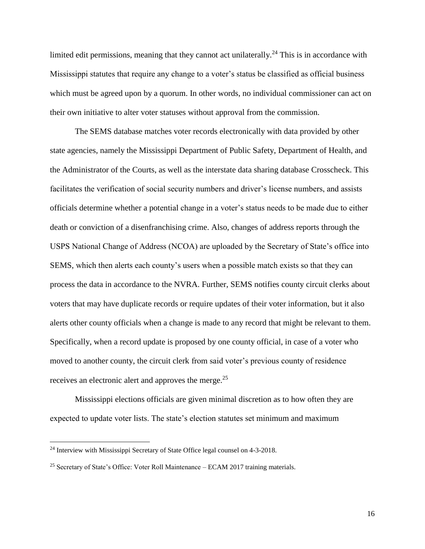limited edit permissions, meaning that they cannot act unilaterally.<sup>24</sup> This is in accordance with Mississippi statutes that require any change to a voter's status be classified as official business which must be agreed upon by a quorum. In other words, no individual commissioner can act on their own initiative to alter voter statuses without approval from the commission.

The SEMS database matches voter records electronically with data provided by other state agencies, namely the Mississippi Department of Public Safety, Department of Health, and the Administrator of the Courts, as well as the interstate data sharing database Crosscheck. This facilitates the verification of social security numbers and driver's license numbers, and assists officials determine whether a potential change in a voter's status needs to be made due to either death or conviction of a disenfranchising crime. Also, changes of address reports through the USPS National Change of Address (NCOA) are uploaded by the Secretary of State's office into SEMS, which then alerts each county's users when a possible match exists so that they can process the data in accordance to the NVRA. Further, SEMS notifies county circuit clerks about voters that may have duplicate records or require updates of their voter information, but it also alerts other county officials when a change is made to any record that might be relevant to them. Specifically, when a record update is proposed by one county official, in case of a voter who moved to another county, the circuit clerk from said voter's previous county of residence receives an electronic alert and approves the merge.<sup>25</sup>

Mississippi elections officials are given minimal discretion as to how often they are expected to update voter lists. The state's election statutes set minimum and maximum

<sup>&</sup>lt;sup>24</sup> Interview with Mississippi Secretary of State Office legal counsel on 4-3-2018.

 $25$  Secretary of State's Office: Voter Roll Maintenance – ECAM 2017 training materials.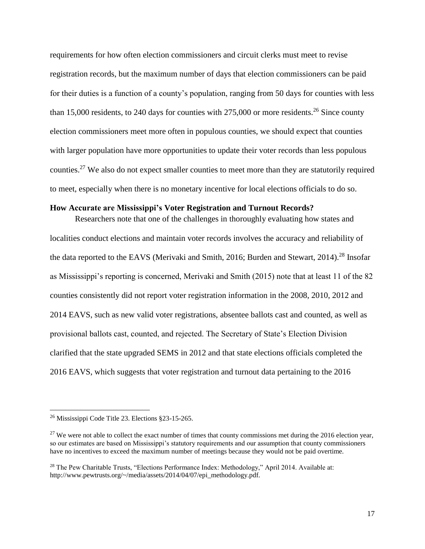requirements for how often election commissioners and circuit clerks must meet to revise registration records, but the maximum number of days that election commissioners can be paid for their duties is a function of a county's population, ranging from 50 days for counties with less than 15,000 residents, to 240 days for counties with  $275,000$  or more residents.<sup>26</sup> Since county election commissioners meet more often in populous counties, we should expect that counties with larger population have more opportunities to update their voter records than less populous counties.<sup>27</sup> We also do not expect smaller counties to meet more than they are statutorily required to meet, especially when there is no monetary incentive for local elections officials to do so.

## **How Accurate are Mississippi's Voter Registration and Turnout Records?**

Researchers note that one of the challenges in thoroughly evaluating how states and localities conduct elections and maintain voter records involves the accuracy and reliability of the data reported to the EAVS (Merivaki and Smith, 2016; Burden and Stewart, 2014).<sup>28</sup> Insofar as Mississippi's reporting is concerned, Merivaki and Smith (2015) note that at least 11 of the 82 counties consistently did not report voter registration information in the 2008, 2010, 2012 and 2014 EAVS, such as new valid voter registrations, absentee ballots cast and counted, as well as provisional ballots cast, counted, and rejected. The Secretary of State's Election Division clarified that the state upgraded SEMS in 2012 and that state elections officials completed the 2016 EAVS, which suggests that voter registration and turnout data pertaining to the 2016

<sup>26</sup> Mississippi Code Title 23. Elections §23-15-265.

 $27$  We were not able to collect the exact number of times that county commissions met during the 2016 election year, so our estimates are based on Mississippi's statutory requirements and our assumption that county commissioners have no incentives to exceed the maximum number of meetings because they would not be paid overtime.

<sup>&</sup>lt;sup>28</sup> The Pew Charitable Trusts, "Elections Performance Index: Methodology," April 2014. Available at: http://www.pewtrusts.org/~/media/assets/2014/04/07/epi\_methodology.pdf.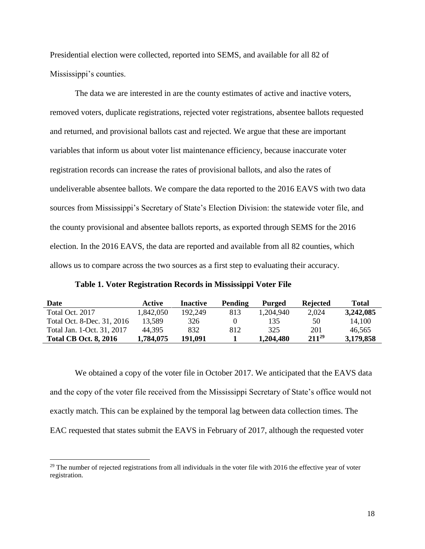Presidential election were collected, reported into SEMS, and available for all 82 of Mississippi's counties.

The data we are interested in are the county estimates of active and inactive voters, removed voters, duplicate registrations, rejected voter registrations, absentee ballots requested and returned, and provisional ballots cast and rejected. We argue that these are important variables that inform us about voter list maintenance efficiency, because inaccurate voter registration records can increase the rates of provisional ballots, and also the rates of undeliverable absentee ballots. We compare the data reported to the 2016 EAVS with two data sources from Mississippi's Secretary of State's Election Division: the statewide voter file, and the county provisional and absentee ballots reports, as exported through SEMS for the 2016 election. In the 2016 EAVS, the data are reported and available from all 82 counties, which allows us to compare across the two sources as a first step to evaluating their accuracy.

| Date                         | Active    | Inactive | Pending | Purged    | <b>Rejected</b> | Total     |
|------------------------------|-----------|----------|---------|-----------|-----------------|-----------|
| Total Oct. 2017              | 1.842.050 | 192.249  | 813     | 1.204.940 | 2.024           | 3,242,085 |
| Total Oct. 8-Dec. 31, 2016   | 13.589    | 326      |         | 135       | 50              | 14.100    |
| Total Jan. 1-Oct. 31, 2017   | 44.395    | 832      | 812     | 325       | 201             | 46.565    |
| <b>Total CB Oct. 8, 2016</b> | 1,784,075 | 191,091  |         | 1,204,480 | $211^{29}$      | 3,179,858 |

We obtained a copy of the voter file in October 2017. We anticipated that the EAVS data and the copy of the voter file received from the Mississippi Secretary of State's office would not exactly match. This can be explained by the temporal lag between data collection times. The EAC requested that states submit the EAVS in February of 2017, although the requested voter

 $29$  The number of rejected registrations from all individuals in the voter file with 2016 the effective year of voter registration.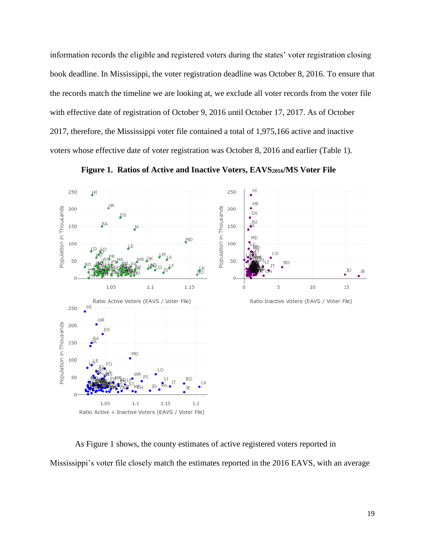information records the eligible and registered voters during the states' voter registration closing book deadline. In Mississippi, the voter registration deadline was October 8, 2016. To ensure that the records match the timeline we are looking at, we exclude all voter records from the voter file with effective date of registration of October 9, 2016 until October 17, 2017. As of October 2017, therefore, the Mississippi voter file contained a total of 1,975,166 active and inactive voters whose effective date of voter registration was October 8, 2016 and earlier (Table 1).



 **Figure 1. Ratios of Active and Inactive Voters, EAVS2016/MS Voter File**

As Figure 1 shows, the county estimates of active registered voters reported in Mississippi's voter file closely match the estimates reported in the 2016 EAVS, with an average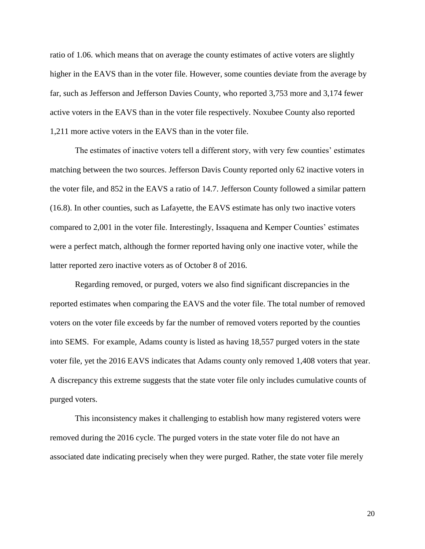ratio of 1.06. which means that on average the county estimates of active voters are slightly higher in the EAVS than in the voter file. However, some counties deviate from the average by far, such as Jefferson and Jefferson Davies County, who reported 3,753 more and 3,174 fewer active voters in the EAVS than in the voter file respectively. Noxubee County also reported 1,211 more active voters in the EAVS than in the voter file.

The estimates of inactive voters tell a different story, with very few counties' estimates matching between the two sources. Jefferson Davis County reported only 62 inactive voters in the voter file, and 852 in the EAVS a ratio of 14.7. Jefferson County followed a similar pattern (16.8). In other counties, such as Lafayette, the EAVS estimate has only two inactive voters compared to 2,001 in the voter file. Interestingly, Issaquena and Kemper Counties' estimates were a perfect match, although the former reported having only one inactive voter, while the latter reported zero inactive voters as of October 8 of 2016.

Regarding removed, or purged, voters we also find significant discrepancies in the reported estimates when comparing the EAVS and the voter file. The total number of removed voters on the voter file exceeds by far the number of removed voters reported by the counties into SEMS. For example, Adams county is listed as having 18,557 purged voters in the state voter file, yet the 2016 EAVS indicates that Adams county only removed 1,408 voters that year. A discrepancy this extreme suggests that the state voter file only includes cumulative counts of purged voters.

This inconsistency makes it challenging to establish how many registered voters were removed during the 2016 cycle. The purged voters in the state voter file do not have an associated date indicating precisely when they were purged. Rather, the state voter file merely

20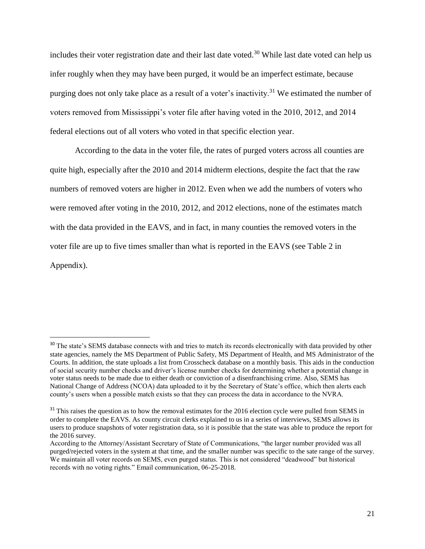includes their voter registration date and their last date voted.<sup>30</sup> While last date voted can help us infer roughly when they may have been purged, it would be an imperfect estimate, because purging does not only take place as a result of a voter's inactivity.<sup>31</sup> We estimated the number of voters removed from Mississippi's voter file after having voted in the 2010, 2012, and 2014 federal elections out of all voters who voted in that specific election year.

According to the data in the voter file, the rates of purged voters across all counties are quite high, especially after the 2010 and 2014 midterm elections, despite the fact that the raw numbers of removed voters are higher in 2012. Even when we add the numbers of voters who were removed after voting in the 2010, 2012, and 2012 elections, none of the estimates match with the data provided in the EAVS, and in fact, in many counties the removed voters in the voter file are up to five times smaller than what is reported in the EAVS (see Table 2 in Appendix).

<sup>&</sup>lt;sup>30</sup> The state's SEMS database connects with and tries to match its records electronically with data provided by other state agencies, namely the MS Department of Public Safety, MS Department of Health, and MS Administrator of the Courts. In addition, the state uploads a list from Crosscheck database on a monthly basis. This aids in the conduction of social security number checks and driver's license number checks for determining whether a potential change in voter status needs to be made due to either death or conviction of a disenfranchising crime. Also, SEMS has National Change of Address (NCOA) data uploaded to it by the Secretary of State's office, which then alerts each county's users when a possible match exists so that they can process the data in accordance to the NVRA.

<sup>&</sup>lt;sup>31</sup> This raises the question as to how the removal estimates for the 2016 election cycle were pulled from SEMS in order to complete the EAVS. As county circuit clerks explained to us in a series of interviews, SEMS allows its users to produce snapshots of voter registration data, so it is possible that the state was able to produce the report for the 2016 survey.

According to the Attorney/Assistant Secretary of State of Communications, "the larger number provided was all purged/rejected voters in the system at that time, and the smaller number was specific to the sate range of the survey. We maintain all voter records on SEMS, even purged status. This is not considered "deadwood" but historical records with no voting rights." Email communication, 06-25-2018.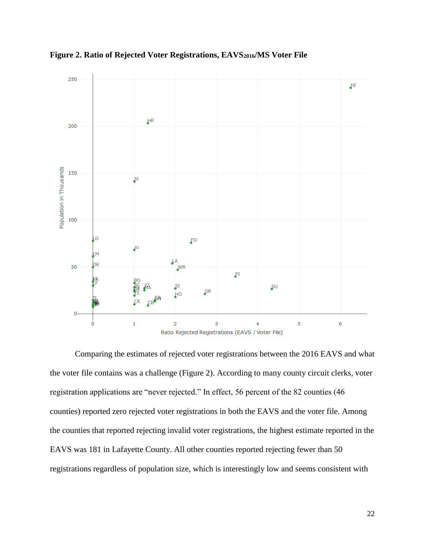



Comparing the estimates of rejected voter registrations between the 2016 EAVS and what the voter file contains was a challenge (Figure 2). According to many county circuit clerks, voter registration applications are "never rejected." In effect, 56 percent of the 82 counties (46 counties) reported zero rejected voter registrations in both the EAVS and the voter file. Among the counties that reported rejecting invalid voter registrations, the highest estimate reported in the EAVS was 181 in Lafayette County. All other counties reported rejecting fewer than 50 registrations regardless of population size, which is interestingly low and seems consistent with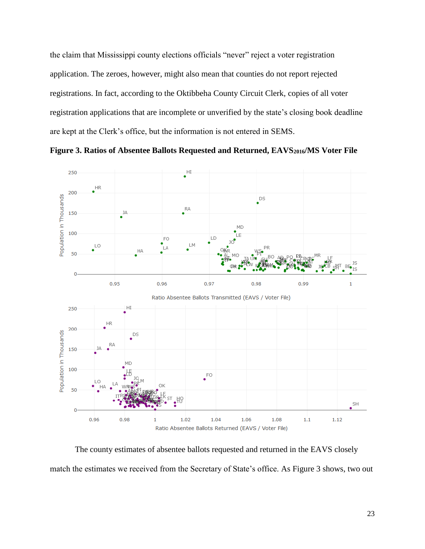the claim that Mississippi county elections officials "never" reject a voter registration application. The zeroes, however, might also mean that counties do not report rejected registrations. In fact, according to the Oktibbeha County Circuit Clerk, copies of all voter registration applications that are incomplete or unverified by the state's closing book deadline are kept at the Clerk's office, but the information is not entered in SEMS.



**Figure 3. Ratios of Absentee Ballots Requested and Returned, EAVS2016/MS Voter File**

The county estimates of absentee ballots requested and returned in the EAVS closely match the estimates we received from the Secretary of State's office. As Figure 3 shows, two out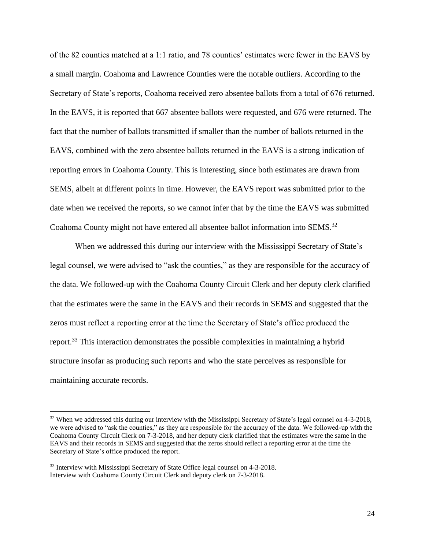of the 82 counties matched at a 1:1 ratio, and 78 counties' estimates were fewer in the EAVS by a small margin. Coahoma and Lawrence Counties were the notable outliers. According to the Secretary of State's reports, Coahoma received zero absentee ballots from a total of 676 returned. In the EAVS, it is reported that 667 absentee ballots were requested, and 676 were returned. The fact that the number of ballots transmitted if smaller than the number of ballots returned in the EAVS, combined with the zero absentee ballots returned in the EAVS is a strong indication of reporting errors in Coahoma County. This is interesting, since both estimates are drawn from SEMS, albeit at different points in time. However, the EAVS report was submitted prior to the date when we received the reports, so we cannot infer that by the time the EAVS was submitted Coahoma County might not have entered all absentee ballot information into SEMS.<sup>32</sup>

When we addressed this during our interview with the Mississippi Secretary of State's legal counsel, we were advised to "ask the counties," as they are responsible for the accuracy of the data. We followed-up with the Coahoma County Circuit Clerk and her deputy clerk clarified that the estimates were the same in the EAVS and their records in SEMS and suggested that the zeros must reflect a reporting error at the time the Secretary of State's office produced the report.<sup>33</sup> This interaction demonstrates the possible complexities in maintaining a hybrid structure insofar as producing such reports and who the state perceives as responsible for maintaining accurate records.

<sup>&</sup>lt;sup>32</sup> When we addressed this during our interview with the Mississippi Secretary of State's legal counsel on 4-3-2018, we were advised to "ask the counties," as they are responsible for the accuracy of the data. We followed-up with the Coahoma County Circuit Clerk on 7-3-2018, and her deputy clerk clarified that the estimates were the same in the EAVS and their records in SEMS and suggested that the zeros should reflect a reporting error at the time the Secretary of State's office produced the report.

<sup>&</sup>lt;sup>33</sup> Interview with Mississippi Secretary of State Office legal counsel on 4-3-2018. Interview with Coahoma County Circuit Clerk and deputy clerk on 7-3-2018.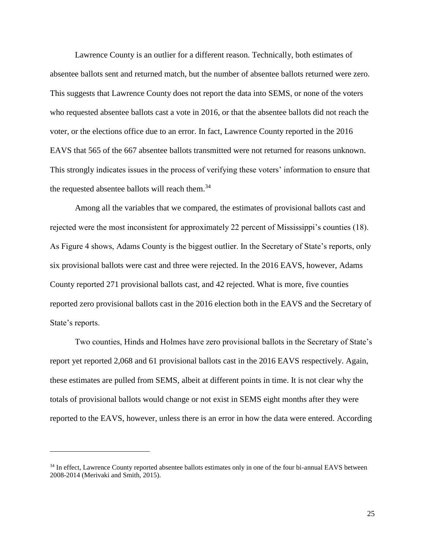Lawrence County is an outlier for a different reason. Technically, both estimates of absentee ballots sent and returned match, but the number of absentee ballots returned were zero. This suggests that Lawrence County does not report the data into SEMS, or none of the voters who requested absentee ballots cast a vote in 2016, or that the absentee ballots did not reach the voter, or the elections office due to an error. In fact, Lawrence County reported in the 2016 EAVS that 565 of the 667 absentee ballots transmitted were not returned for reasons unknown. This strongly indicates issues in the process of verifying these voters' information to ensure that the requested absentee ballots will reach them.<sup>34</sup>

Among all the variables that we compared, the estimates of provisional ballots cast and rejected were the most inconsistent for approximately 22 percent of Mississippi's counties (18). As Figure 4 shows, Adams County is the biggest outlier. In the Secretary of State's reports, only six provisional ballots were cast and three were rejected. In the 2016 EAVS, however, Adams County reported 271 provisional ballots cast, and 42 rejected. What is more, five counties reported zero provisional ballots cast in the 2016 election both in the EAVS and the Secretary of State's reports.

Two counties, Hinds and Holmes have zero provisional ballots in the Secretary of State's report yet reported 2,068 and 61 provisional ballots cast in the 2016 EAVS respectively. Again, these estimates are pulled from SEMS, albeit at different points in time. It is not clear why the totals of provisional ballots would change or not exist in SEMS eight months after they were reported to the EAVS, however, unless there is an error in how the data were entered. According

l

<sup>&</sup>lt;sup>34</sup> In effect, Lawrence County reported absentee ballots estimates only in one of the four bi-annual EAVS between 2008-2014 (Merivaki and Smith, 2015).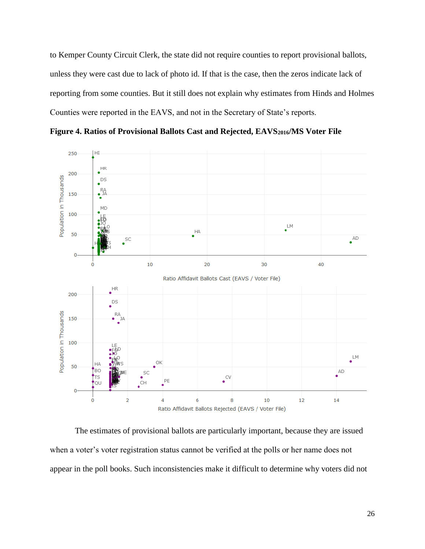to Kemper County Circuit Clerk, the state did not require counties to report provisional ballots, unless they were cast due to lack of photo id. If that is the case, then the zeros indicate lack of reporting from some counties. But it still does not explain why estimates from Hinds and Holmes Counties were reported in the EAVS, and not in the Secretary of State's reports.

**Figure 4. Ratios of Provisional Ballots Cast and Rejected, EAVS2016/MS Voter File**



The estimates of provisional ballots are particularly important, because they are issued when a voter's voter registration status cannot be verified at the polls or her name does not appear in the poll books. Such inconsistencies make it difficult to determine why voters did not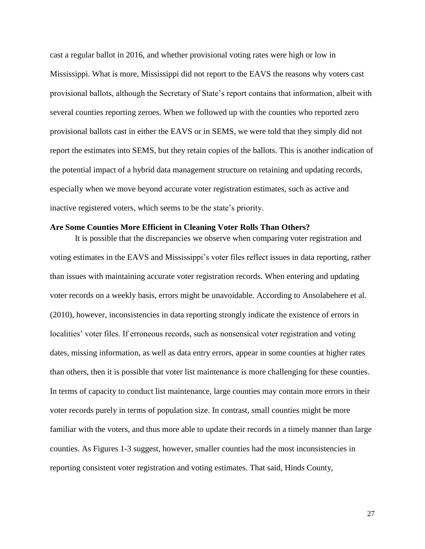cast a regular ballot in 2016, and whether provisional voting rates were high or low in Mississippi. What is more, Mississippi did not report to the EAVS the reasons why voters cast provisional ballots, although the Secretary of State's report contains that information, albeit with several counties reporting zeroes. When we followed up with the counties who reported zero provisional ballots cast in either the EAVS or in SEMS, we were told that they simply did not report the estimates into SEMS, but they retain copies of the ballots. This is another indication of the potential impact of a hybrid data management structure on retaining and updating records, especially when we move beyond accurate voter registration estimates, such as active and inactive registered voters, which seems to be the state's priority.

## **Are Some Counties More Efficient in Cleaning Voter Rolls Than Others?**

It is possible that the discrepancies we observe when comparing voter registration and voting estimates in the EAVS and Mississippi's voter files reflect issues in data reporting, rather than issues with maintaining accurate voter registration records. When entering and updating voter records on a weekly basis, errors might be unavoidable. According to Ansolabehere et al. (2010), however, inconsistencies in data reporting strongly indicate the existence of errors in localities' voter files. If erroneous records, such as nonsensical voter registration and voting dates, missing information, as well as data entry errors, appear in some counties at higher rates than others, then it is possible that voter list maintenance is more challenging for these counties. In terms of capacity to conduct list maintenance, large counties may contain more errors in their voter records purely in terms of population size. In contrast, small counties might be more familiar with the voters, and thus more able to update their records in a timely manner than large counties. As Figures 1-3 suggest, however, smaller counties had the most inconsistencies in reporting consistent voter registration and voting estimates. That said, Hinds County,

27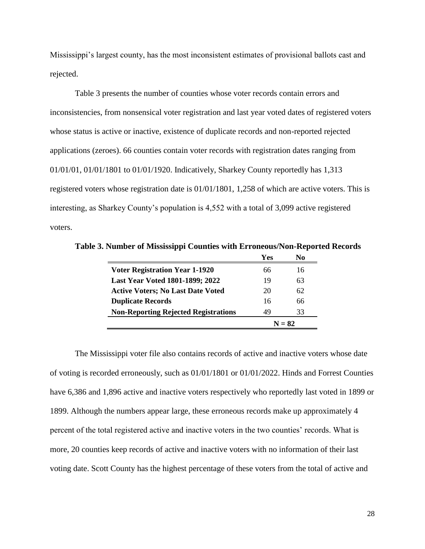Mississippi's largest county, has the most inconsistent estimates of provisional ballots cast and rejected.

Table 3 presents the number of counties whose voter records contain errors and inconsistencies, from nonsensical voter registration and last year voted dates of registered voters whose status is active or inactive, existence of duplicate records and non-reported rejected applications (zeroes). 66 counties contain voter records with registration dates ranging from 01/01/01, 01/01/1801 to 01/01/1920. Indicatively, Sharkey County reportedly has 1,313 registered voters whose registration date is 01/01/1801, 1,258 of which are active voters. This is interesting, as Sharkey County's population is 4,552 with a total of 3,099 active registered voters.

|                                             | Yes      | No |  |
|---------------------------------------------|----------|----|--|
| <b>Voter Registration Year 1-1920</b>       | 66       | 16 |  |
| <b>Last Year Voted 1801-1899; 2022</b>      | 19       | 63 |  |
| <b>Active Voters; No Last Date Voted</b>    | 20       | 62 |  |
| <b>Duplicate Records</b>                    | 16       | 66 |  |
| <b>Non-Reporting Rejected Registrations</b> | 49       | 33 |  |
|                                             | $N = 82$ |    |  |

**Table 3. Number of Mississippi Counties with Erroneous/Non-Reported Records**

The Mississippi voter file also contains records of active and inactive voters whose date of voting is recorded erroneously, such as 01/01/1801 or 01/01/2022. Hinds and Forrest Counties have 6,386 and 1,896 active and inactive voters respectively who reportedly last voted in 1899 or 1899. Although the numbers appear large, these erroneous records make up approximately 4 percent of the total registered active and inactive voters in the two counties' records. What is more, 20 counties keep records of active and inactive voters with no information of their last voting date. Scott County has the highest percentage of these voters from the total of active and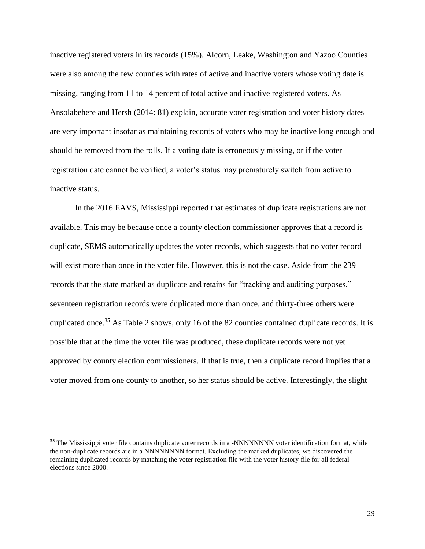inactive registered voters in its records (15%). Alcorn, Leake, Washington and Yazoo Counties were also among the few counties with rates of active and inactive voters whose voting date is missing, ranging from 11 to 14 percent of total active and inactive registered voters. As Ansolabehere and Hersh (2014: 81) explain, accurate voter registration and voter history dates are very important insofar as maintaining records of voters who may be inactive long enough and should be removed from the rolls. If a voting date is erroneously missing, or if the voter registration date cannot be verified, a voter's status may prematurely switch from active to inactive status.

In the 2016 EAVS, Mississippi reported that estimates of duplicate registrations are not available. This may be because once a county election commissioner approves that a record is duplicate, SEMS automatically updates the voter records, which suggests that no voter record will exist more than once in the voter file. However, this is not the case. Aside from the 239 records that the state marked as duplicate and retains for "tracking and auditing purposes," seventeen registration records were duplicated more than once, and thirty-three others were duplicated once.<sup>35</sup> As Table 2 shows, only 16 of the 82 counties contained duplicate records. It is possible that at the time the voter file was produced, these duplicate records were not yet approved by county election commissioners. If that is true, then a duplicate record implies that a voter moved from one county to another, so her status should be active. Interestingly, the slight

<sup>&</sup>lt;sup>35</sup> The Mississippi voter file contains duplicate voter records in a -NNNNNNNN voter identification format, while the non-duplicate records are in a NNNNNNNN format. Excluding the marked duplicates, we discovered the remaining duplicated records by matching the voter registration file with the voter history file for all federal elections since 2000.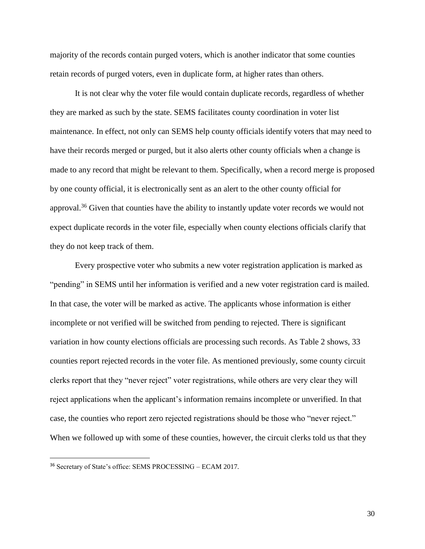majority of the records contain purged voters, which is another indicator that some counties retain records of purged voters, even in duplicate form, at higher rates than others.

It is not clear why the voter file would contain duplicate records, regardless of whether they are marked as such by the state. SEMS facilitates county coordination in voter list maintenance. In effect, not only can SEMS help county officials identify voters that may need to have their records merged or purged, but it also alerts other county officials when a change is made to any record that might be relevant to them. Specifically, when a record merge is proposed by one county official, it is electronically sent as an alert to the other county official for approval.<sup>36</sup> Given that counties have the ability to instantly update voter records we would not expect duplicate records in the voter file, especially when county elections officials clarify that they do not keep track of them.

Every prospective voter who submits a new voter registration application is marked as "pending" in SEMS until her information is verified and a new voter registration card is mailed. In that case, the voter will be marked as active. The applicants whose information is either incomplete or not verified will be switched from pending to rejected. There is significant variation in how county elections officials are processing such records. As Table 2 shows, 33 counties report rejected records in the voter file. As mentioned previously, some county circuit clerks report that they "never reject" voter registrations, while others are very clear they will reject applications when the applicant's information remains incomplete or unverified. In that case, the counties who report zero rejected registrations should be those who "never reject." When we followed up with some of these counties, however, the circuit clerks told us that they

<sup>36</sup> Secretary of State's office: SEMS PROCESSING – ECAM 2017.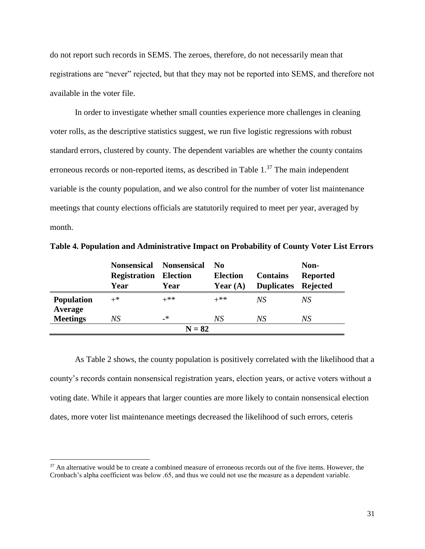do not report such records in SEMS. The zeroes, therefore, do not necessarily mean that registrations are "never" rejected, but that they may not be reported into SEMS, and therefore not available in the voter file.

In order to investigate whether small counties experience more challenges in cleaning voter rolls, as the descriptive statistics suggest, we run five logistic regressions with robust standard errors, clustered by county. The dependent variables are whether the county contains erroneous records or non-reported items, as described in Table  $1<sup>37</sup>$  The main independent variable is the county population, and we also control for the number of voter list maintenance meetings that county elections officials are statutorily required to meet per year, averaged by month.

|                              | <b>Nonsensical</b>  | <b>Nonsensical</b> | No.             | Non-              |                 |  |  |  |
|------------------------------|---------------------|--------------------|-----------------|-------------------|-----------------|--|--|--|
|                              | <b>Registration</b> | <b>Election</b>    | <b>Election</b> | <b>Contains</b>   | <b>Reported</b> |  |  |  |
|                              | Year                | Year               | Year $(A)$      | <b>Duplicates</b> | <b>Rejected</b> |  |  |  |
| <b>Population</b><br>Average | $+^*$               | $+***$             | $+***$          | NS <sup>-</sup>   | NS              |  |  |  |
| <b>Meetings</b>              | NS                  | _*                 | NS              | NS                | NS              |  |  |  |
| $N = 82$                     |                     |                    |                 |                   |                 |  |  |  |

**Table 4. Population and Administrative Impact on Probability of County Voter List Errors** 

As Table 2 shows, the county population is positively correlated with the likelihood that a county's records contain nonsensical registration years, election years, or active voters without a voting date. While it appears that larger counties are more likely to contain nonsensical election dates, more voter list maintenance meetings decreased the likelihood of such errors, ceteris

 $37$  An alternative would be to create a combined measure of erroneous records out of the five items. However, the Cronbach's alpha coefficient was below .65, and thus we could not use the measure as a dependent variable.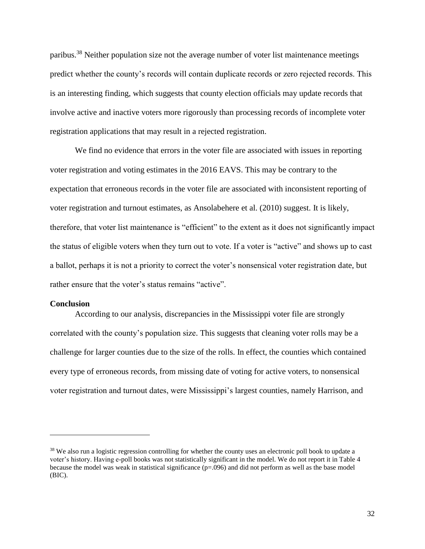paribus.<sup>38</sup> Neither population size not the average number of voter list maintenance meetings predict whether the county's records will contain duplicate records or zero rejected records. This is an interesting finding, which suggests that county election officials may update records that involve active and inactive voters more rigorously than processing records of incomplete voter registration applications that may result in a rejected registration.

We find no evidence that errors in the voter file are associated with issues in reporting voter registration and voting estimates in the 2016 EAVS. This may be contrary to the expectation that erroneous records in the voter file are associated with inconsistent reporting of voter registration and turnout estimates, as Ansolabehere et al. (2010) suggest. It is likely, therefore, that voter list maintenance is "efficient" to the extent as it does not significantly impact the status of eligible voters when they turn out to vote. If a voter is "active" and shows up to cast a ballot, perhaps it is not a priority to correct the voter's nonsensical voter registration date, but rather ensure that the voter's status remains "active".

#### **Conclusion**

l

According to our analysis, discrepancies in the Mississippi voter file are strongly correlated with the county's population size. This suggests that cleaning voter rolls may be a challenge for larger counties due to the size of the rolls. In effect, the counties which contained every type of erroneous records, from missing date of voting for active voters, to nonsensical voter registration and turnout dates, were Mississippi's largest counties, namely Harrison, and

<sup>&</sup>lt;sup>38</sup> We also run a logistic regression controlling for whether the county uses an electronic poll book to update a voter's history. Having e-poll books was not statistically significant in the model. We do not report it in Table 4 because the model was weak in statistical significance (p=.096) and did not perform as well as the base model (BIC).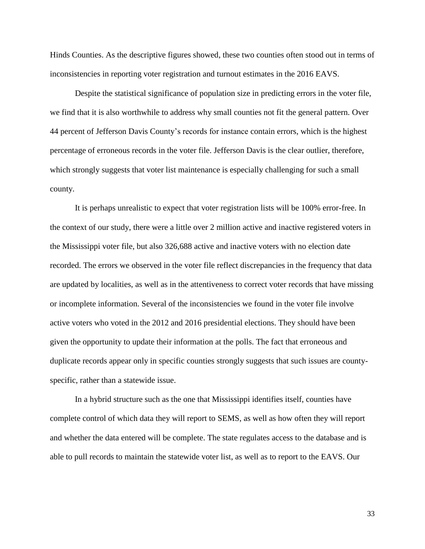Hinds Counties. As the descriptive figures showed, these two counties often stood out in terms of inconsistencies in reporting voter registration and turnout estimates in the 2016 EAVS.

Despite the statistical significance of population size in predicting errors in the voter file, we find that it is also worthwhile to address why small counties not fit the general pattern. Over 44 percent of Jefferson Davis County's records for instance contain errors, which is the highest percentage of erroneous records in the voter file. Jefferson Davis is the clear outlier, therefore, which strongly suggests that voter list maintenance is especially challenging for such a small county.

It is perhaps unrealistic to expect that voter registration lists will be 100% error-free. In the context of our study, there were a little over 2 million active and inactive registered voters in the Mississippi voter file, but also 326,688 active and inactive voters with no election date recorded. The errors we observed in the voter file reflect discrepancies in the frequency that data are updated by localities, as well as in the attentiveness to correct voter records that have missing or incomplete information. Several of the inconsistencies we found in the voter file involve active voters who voted in the 2012 and 2016 presidential elections. They should have been given the opportunity to update their information at the polls. The fact that erroneous and duplicate records appear only in specific counties strongly suggests that such issues are countyspecific, rather than a statewide issue.

In a hybrid structure such as the one that Mississippi identifies itself, counties have complete control of which data they will report to SEMS, as well as how often they will report and whether the data entered will be complete. The state regulates access to the database and is able to pull records to maintain the statewide voter list, as well as to report to the EAVS. Our

33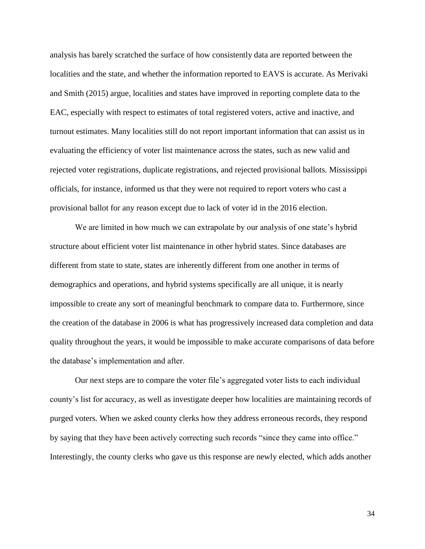analysis has barely scratched the surface of how consistently data are reported between the localities and the state, and whether the information reported to EAVS is accurate. As Merivaki and Smith (2015) argue, localities and states have improved in reporting complete data to the EAC, especially with respect to estimates of total registered voters, active and inactive, and turnout estimates. Many localities still do not report important information that can assist us in evaluating the efficiency of voter list maintenance across the states, such as new valid and rejected voter registrations, duplicate registrations, and rejected provisional ballots. Mississippi officials, for instance, informed us that they were not required to report voters who cast a provisional ballot for any reason except due to lack of voter id in the 2016 election.

We are limited in how much we can extrapolate by our analysis of one state's hybrid structure about efficient voter list maintenance in other hybrid states. Since databases are different from state to state, states are inherently different from one another in terms of demographics and operations, and hybrid systems specifically are all unique, it is nearly impossible to create any sort of meaningful benchmark to compare data to. Furthermore, since the creation of the database in 2006 is what has progressively increased data completion and data quality throughout the years, it would be impossible to make accurate comparisons of data before the database's implementation and after.

Our next steps are to compare the voter file's aggregated voter lists to each individual county's list for accuracy, as well as investigate deeper how localities are maintaining records of purged voters. When we asked county clerks how they address erroneous records, they respond by saying that they have been actively correcting such records "since they came into office." Interestingly, the county clerks who gave us this response are newly elected, which adds another

34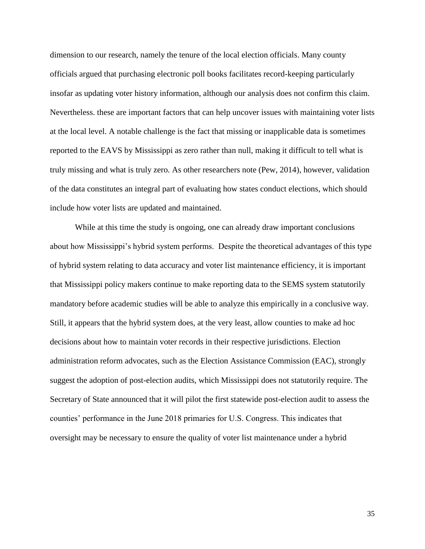dimension to our research, namely the tenure of the local election officials. Many county officials argued that purchasing electronic poll books facilitates record-keeping particularly insofar as updating voter history information, although our analysis does not confirm this claim. Nevertheless. these are important factors that can help uncover issues with maintaining voter lists at the local level. A notable challenge is the fact that missing or inapplicable data is sometimes reported to the EAVS by Mississippi as zero rather than null, making it difficult to tell what is truly missing and what is truly zero. As other researchers note (Pew, 2014), however, validation of the data constitutes an integral part of evaluating how states conduct elections, which should include how voter lists are updated and maintained.

While at this time the study is ongoing, one can already draw important conclusions about how Mississippi's hybrid system performs. Despite the theoretical advantages of this type of hybrid system relating to data accuracy and voter list maintenance efficiency, it is important that Mississippi policy makers continue to make reporting data to the SEMS system statutorily mandatory before academic studies will be able to analyze this empirically in a conclusive way. Still, it appears that the hybrid system does, at the very least, allow counties to make ad hoc decisions about how to maintain voter records in their respective jurisdictions. Election administration reform advocates, such as the Election Assistance Commission (EAC), strongly suggest the adoption of post-election audits, which Mississippi does not statutorily require. The Secretary of State announced that it will pilot the first statewide post-election audit to assess the counties' performance in the June 2018 primaries for U.S. Congress. This indicates that oversight may be necessary to ensure the quality of voter list maintenance under a hybrid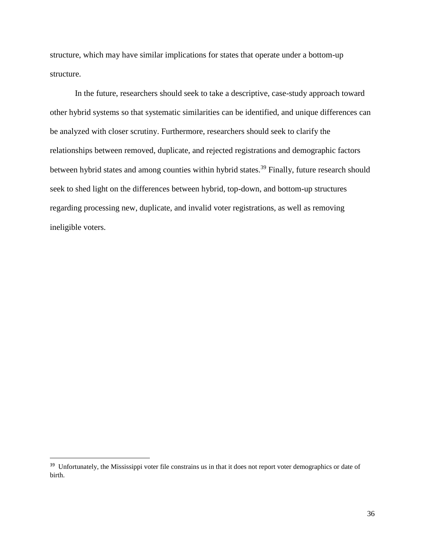structure, which may have similar implications for states that operate under a bottom-up structure.

In the future, researchers should seek to take a descriptive, case-study approach toward other hybrid systems so that systematic similarities can be identified, and unique differences can be analyzed with closer scrutiny. Furthermore, researchers should seek to clarify the relationships between removed, duplicate, and rejected registrations and demographic factors between hybrid states and among counties within hybrid states.<sup>39</sup> Finally, future research should seek to shed light on the differences between hybrid, top-down, and bottom-up structures regarding processing new, duplicate, and invalid voter registrations, as well as removing ineligible voters.

<sup>&</sup>lt;sup>39</sup> Unfortunately, the Mississippi voter file constrains us in that it does not report voter demographics or date of birth.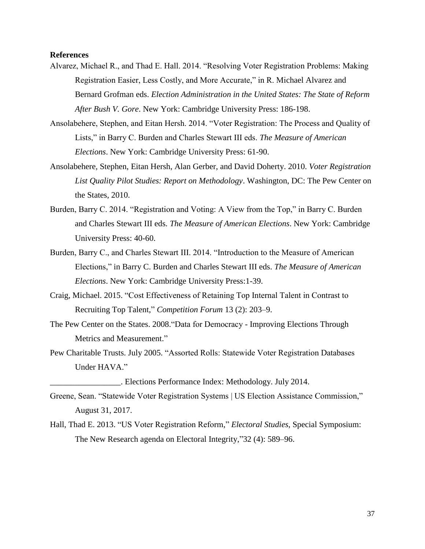# **References**

- Alvarez, Michael R., and Thad E. Hall. 2014. "Resolving Voter Registration Problems: Making Registration Easier, Less Costly, and More Accurate," in R. Michael Alvarez and Bernard Grofman eds. *Election Administration in the United States: The State of Reform After Bush V. Gore*. New York: Cambridge University Press: 186-198.
- Ansolabehere, Stephen, and Eitan Hersh. 2014. "Voter Registration: The Process and Quality of Lists," in Barry C. Burden and Charles Stewart III eds. *The Measure of American Elections*. New York: Cambridge University Press: 61-90.
- Ansolabehere, Stephen, Eitan Hersh, Alan Gerber, and David Doherty. 2010. *Voter Registration List Quality Pilot Studies: Report on Methodology*. Washington, DC: The Pew Center on the States, 2010.
- Burden, Barry C. 2014. "Registration and Voting: A View from the Top," in Barry C. Burden and Charles Stewart III eds. *The Measure of American Elections*. New York: Cambridge University Press: 40-60.
- Burden, Barry C., and Charles Stewart III. 2014. "Introduction to the Measure of American Elections," in Barry C. Burden and Charles Stewart III eds. *The Measure of American Elections*. New York: Cambridge University Press:1-39.
- Craig, Michael. 2015. "Cost Effectiveness of Retaining Top Internal Talent in Contrast to Recruiting Top Talent," *Competition Forum* 13 (2): 203–9.
- The Pew Center on the States. 2008."Data for Democracy Improving Elections Through Metrics and Measurement."
- Pew Charitable Trusts. July 2005. "Assorted Rolls: Statewide Voter Registration Databases Under HAVA."

\_\_\_\_\_\_\_\_\_\_\_\_\_\_\_\_\_. Elections Performance Index: Methodology. July 2014.

- Greene, Sean. "Statewide Voter Registration Systems | US Election Assistance Commission," August 31, 2017.
- Hall, Thad E. 2013. "US Voter Registration Reform," *Electoral Studies*, Special Symposium: The New Research agenda on Electoral Integrity,"32 (4): 589–96.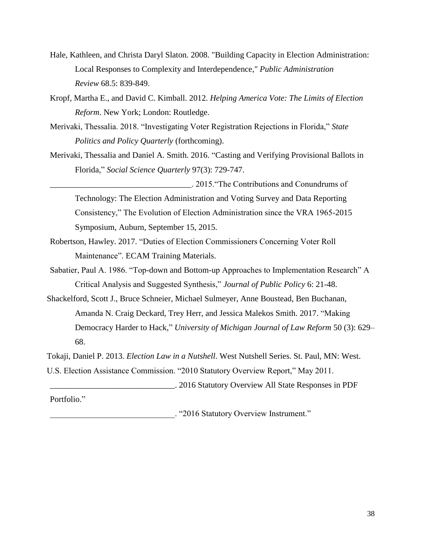- Hale, Kathleen, and Christa Daryl Slaton. 2008. "Building Capacity in Election Administration: Local Responses to Complexity and Interdependence," *Public Administration Review* 68.5: 839-849.
- Kropf, Martha E., and David C. Kimball. 2012. *Helping America Vote: The Limits of Election Reform*. New York; London: Routledge.
- Merivaki, Thessalia. 2018. "Investigating Voter Registration Rejections in Florida," *State Politics and Policy Quarterly* (forthcoming).
- Merivaki, Thessalia and Daniel A. Smith. 2016. "Casting and Verifying Provisional Ballots in Florida," *Social Science Quarterly* 97(3): 729-747.

\_\_\_\_\_\_\_\_\_\_\_\_\_\_\_\_\_\_\_\_\_\_\_\_\_\_\_\_\_\_\_\_\_\_. 2015."The Contributions and Conundrums of Technology: The Election Administration and Voting Survey and Data Reporting Consistency," The Evolution of Election Administration since the VRA 1965-2015 Symposium, Auburn, September 15, 2015.

- Robertson, Hawley. 2017. "Duties of Election Commissioners Concerning Voter Roll Maintenance". ECAM Training Materials.
- Sabatier, Paul A. 1986. "Top-down and Bottom-up Approaches to Implementation Research" A Critical Analysis and Suggested Synthesis," *Journal of Public Policy* 6: 21-48.

Shackelford, Scott J., Bruce Schneier, Michael Sulmeyer, Anne Boustead, Ben Buchanan, Amanda N. Craig Deckard, Trey Herr, and Jessica Malekos Smith. 2017. "Making Democracy Harder to Hack," *University of Michigan Journal of Law Reform* 50 (3): 629– 68.

Tokaji, Daniel P. 2013. *Election Law in a Nutshell*. West Nutshell Series. St. Paul, MN: West.

U.S. Election Assistance Commission. "2010 Statutory Overview Report," May 2011.

\_\_\_\_\_\_\_\_\_\_\_\_\_\_\_\_\_\_\_\_\_\_\_\_\_\_\_\_\_\_. 2016 Statutory Overview All State Responses in PDF

Portfolio."

\_\_\_\_\_\_\_\_\_\_\_\_\_\_\_\_\_\_\_\_\_\_\_\_\_\_\_\_\_\_. "2016 Statutory Overview Instrument."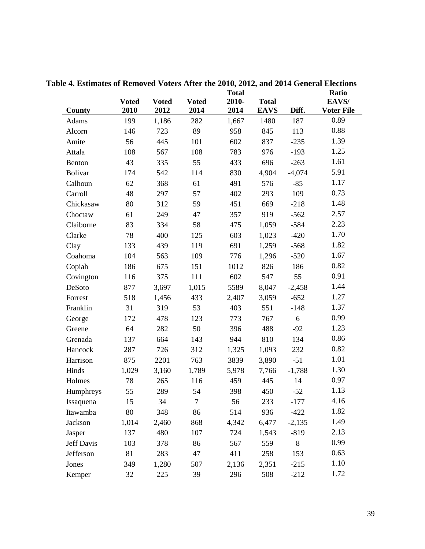|                | <b>Voted</b> | <b>Voted</b> | <b>Voted</b> | <b>Total</b><br>2010- | <b>Total</b> |          | Ratio<br>EAVS/ |
|----------------|--------------|--------------|--------------|-----------------------|--------------|----------|----------------|
| <b>County</b>  | 2010         | 2012         | 2014         | 2014                  | <b>EAVS</b>  | Diff.    | Voter File     |
| Adams          | 199          | 1,186        | 282          | 1,667                 | 1480         | 187      | 0.89           |
| Alcorn         | 146          | 723          | 89           | 958                   | 845          | 113      | 0.88           |
| Amite          | 56           | 445          | 101          | 602                   | 837          | $-235$   | 1.39           |
| Attala         | 108          | 567          | 108          | 783                   | 976          | $-193$   | 1.25           |
| Benton         | 43           | 335          | 55           | 433                   | 696          | $-263$   | 1.61           |
| <b>Bolivar</b> | 174          | 542          | 114          | 830                   | 4,904        | $-4,074$ | 5.91           |
| Calhoun        | 62           | 368          | 61           | 491                   | 576          | $-85$    | 1.17           |
| Carroll        | 48           | 297          | 57           | 402                   | 293          | 109      | 0.73           |
| Chickasaw      | 80           | 312          | 59           | 451                   | 669          | $-218$   | 1.48           |
| Choctaw        | 61           | 249          | 47           | 357                   | 919          | $-562$   | 2.57           |
| Claiborne      | 83           | 334          | 58           | 475                   | 1,059        | $-584$   | 2.23           |
| Clarke         | 78           | 400          | 125          | 603                   | 1,023        | $-420$   | 1.70           |
| Clay           | 133          | 439          | 119          | 691                   | 1,259        | $-568$   | 1.82           |
| Coahoma        | 104          | 563          | 109          | 776                   | 1,296        | $-520$   | 1.67           |
| Copiah         | 186          | 675          | 151          | 1012                  | 826          | 186      | 0.82           |
| Covington      | 116          | 375          | 111          | 602                   | 547          | 55       | 0.91           |
| DeSoto         | 877          | 3,697        | 1,015        | 5589                  | 8,047        | $-2,458$ | 1.44           |
| Forrest        | 518          | 1,456        | 433          | 2,407                 | 3,059        | $-652$   | 1.27           |
| Franklin       | 31           | 319          | 53           | 403                   | 551          | $-148$   | 1.37           |
| George         | 172          | 478          | 123          | 773                   | 767          | 6        | 0.99           |
| Greene         | 64           | 282          | 50           | 396                   | 488          | $-92$    | 1.23           |
| Grenada        | 137          | 664          | 143          | 944                   | 810          | 134      | 0.86           |
| Hancock        | 287          | 726          | 312          | 1,325                 | 1,093        | 232      | 0.82           |
| Harrison       | 875          | 2201         | 763          | 3839                  | 3,890        | $-51$    | 1.01           |
| Hinds          | 1,029        | 3,160        | 1,789        | 5,978                 | 7,766        | $-1,788$ | 1.30           |
| Holmes         | 78           | 265          | 116          | 459                   | 445          | 14       | 0.97           |
| Humphreys      | 55           | 289          | 54           | 398                   | 450          | $-52$    | 1.13           |
| Issaquena      | 15           | 34           | 7            | 56                    | 233          | -177     | 4.16           |
| Itawamba       | 80           | 348          | 86           | 514                   | 936          | $-422$   | 1.82           |
| Jackson        | 1,014        | 2,460        | 868          | 4,342                 | 6,477        | $-2,135$ | 1.49           |
| Jasper         | 137          | 480          | 107          | 724                   | 1,543        | $-819$   | 2.13           |
| Jeff Davis     | 103          | 378          | 86           | 567                   | 559          | $8\,$    | 0.99           |
| Jefferson      | 81           | 283          | 47           | 411                   | 258          | 153      | 0.63           |
| Jones          | 349          | 1,280        | 507          | 2,136                 | 2,351        | $-215$   | 1.10           |
| Kemper         | 32           | 225          | 39           | 296                   | 508          | $-212$   | 1.72           |

**Table 4. Estimates of Removed Voters After the 2010, 2012, and 2014 General Elections**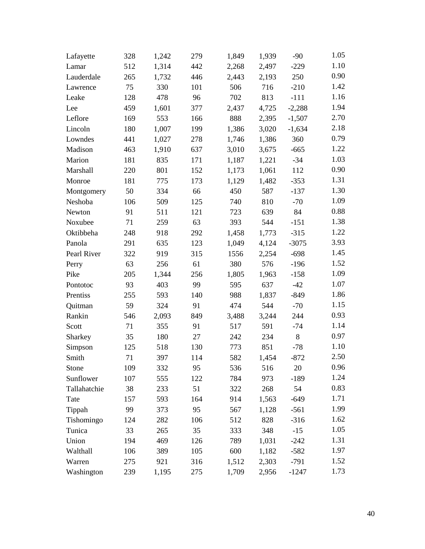| Lafayette    | 328 | 1,242 | 279 | 1,849 | 1,939 | $-90$    | 1.05 |
|--------------|-----|-------|-----|-------|-------|----------|------|
| Lamar        | 512 | 1,314 | 442 | 2,268 | 2,497 | $-229$   | 1.10 |
| Lauderdale   | 265 | 1,732 | 446 | 2,443 | 2,193 | 250      | 0.90 |
| Lawrence     | 75  | 330   | 101 | 506   | 716   | $-210$   | 1.42 |
| Leake        | 128 | 478   | 96  | 702   | 813   | $-111$   | 1.16 |
| Lee          | 459 | 1,601 | 377 | 2,437 | 4,725 | $-2,288$ | 1.94 |
| Leflore      | 169 | 553   | 166 | 888   | 2,395 | $-1,507$ | 2.70 |
| Lincoln      | 180 | 1,007 | 199 | 1,386 | 3,020 | $-1,634$ | 2.18 |
| Lowndes      | 441 | 1,027 | 278 | 1,746 | 1,386 | 360      | 0.79 |
| Madison      | 463 | 1,910 | 637 | 3,010 | 3,675 | $-665$   | 1.22 |
| Marion       | 181 | 835   | 171 | 1,187 | 1,221 | $-34$    | 1.03 |
| Marshall     | 220 | 801   | 152 | 1,173 | 1,061 | 112      | 0.90 |
| Monroe       | 181 | 775   | 173 | 1,129 | 1,482 | $-353$   | 1.31 |
| Montgomery   | 50  | 334   | 66  | 450   | 587   | $-137$   | 1.30 |
| Neshoba      | 106 | 509   | 125 | 740   | 810   | $-70$    | 1.09 |
| Newton       | 91  | 511   | 121 | 723   | 639   | 84       | 0.88 |
| Noxubee      | 71  | 259   | 63  | 393   | 544   | $-151$   | 1.38 |
| Oktibbeha    | 248 | 918   | 292 | 1,458 | 1,773 | $-315$   | 1.22 |
| Panola       | 291 | 635   | 123 | 1,049 | 4,124 | $-3075$  | 3.93 |
| Pearl River  | 322 | 919   | 315 | 1556  | 2,254 | $-698$   | 1.45 |
| Perry        | 63  | 256   | 61  | 380   | 576   | $-196$   | 1.52 |
| Pike         | 205 | 1,344 | 256 | 1,805 | 1,963 | $-158$   | 1.09 |
| Pontotoc     | 93  | 403   | 99  | 595   | 637   | $-42$    | 1.07 |
| Prentiss     | 255 | 593   | 140 | 988   | 1,837 | $-849$   | 1.86 |
| Quitman      | 59  | 324   | 91  | 474   | 544   | $-70$    | 1.15 |
| Rankin       | 546 | 2,093 | 849 | 3,488 | 3,244 | 244      | 0.93 |
| Scott        | 71  | 355   | 91  | 517   | 591   | $-74$    | 1.14 |
| Sharkey      | 35  | 180   | 27  | 242   | 234   | 8        | 0.97 |
| Simpson      | 125 | 518   | 130 | 773   | 851   | $-78$    | 1.10 |
| Smith        | 71  | 397   | 114 | 582   | 1,454 | $-872$   | 2.50 |
| Stone        | 109 | 332   | 95  | 536   | 516   | 20       | 0.96 |
| Sunflower    | 107 | 555   | 122 | 784   | 973   | $-189$   | 1.24 |
| Tallahatchie | 38  | 233   | 51  | 322   | 268   | 54       | 0.83 |
| Tate         | 157 | 593   | 164 | 914   | 1,563 | $-649$   | 1.71 |
| Tippah       | 99  | 373   | 95  | 567   | 1,128 | $-561$   | 1.99 |
| Tishomingo   | 124 | 282   | 106 | 512   | 828   | $-316$   | 1.62 |
| Tunica       | 33  | 265   | 35  | 333   | 348   | $-15$    | 1.05 |
| Union        | 194 | 469   | 126 | 789   | 1,031 | $-242$   | 1.31 |
| Walthall     | 106 | 389   | 105 | 600   | 1,182 | $-582$   | 1.97 |
| Warren       | 275 | 921   | 316 | 1,512 | 2,303 | $-791$   | 1.52 |
| Washington   | 239 | 1,195 | 275 | 1,709 | 2,956 | $-1247$  | 1.73 |